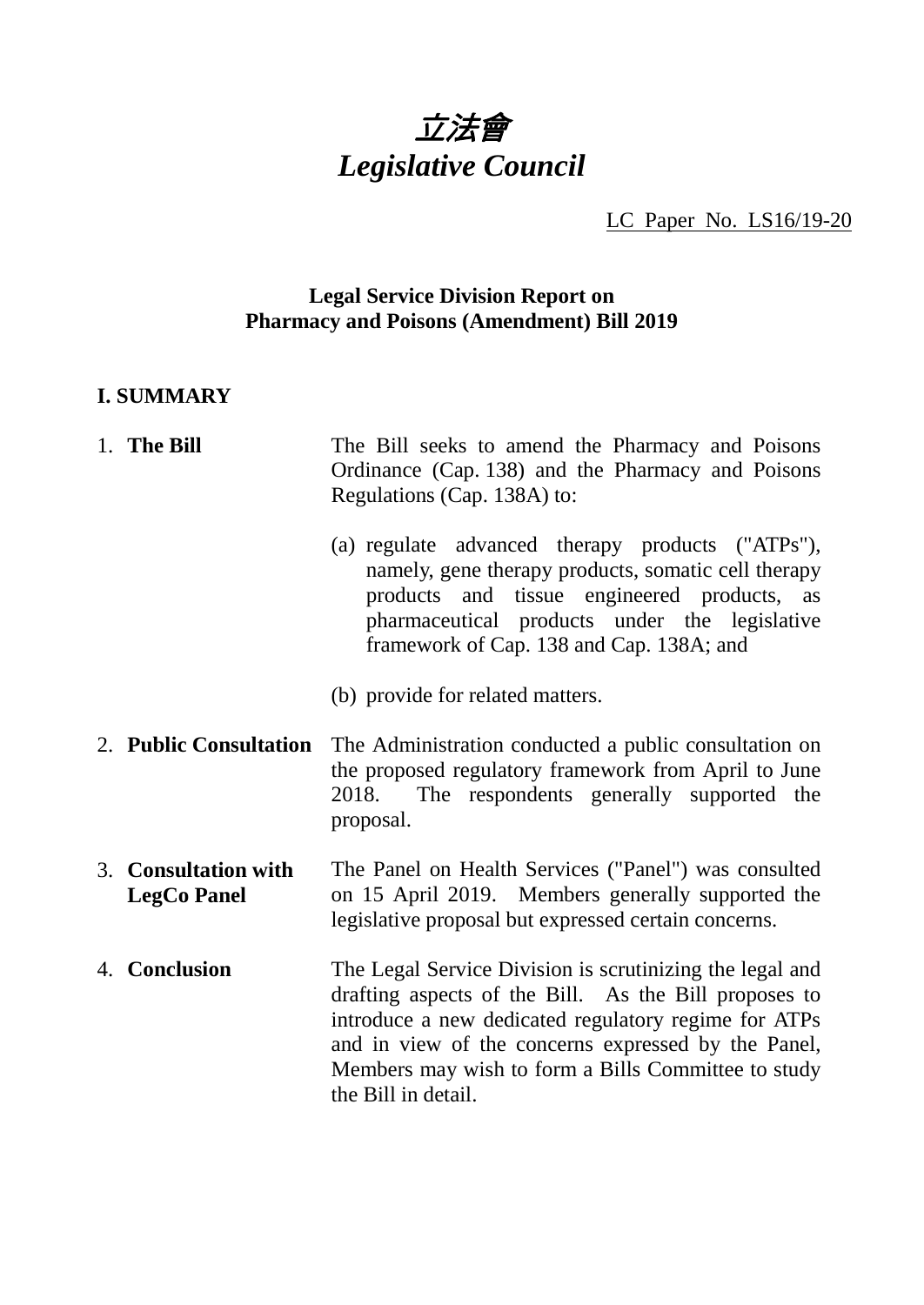

LC Paper No. LS16/19-20

## **Legal Service Division Report on Pharmacy and Poisons (Amendment) Bill 2019**

# **I. SUMMARY**

| 1. The Bill                                | The Bill seeks to amend the Pharmacy and Poisons<br>Ordinance (Cap. 138) and the Pharmacy and Poisons<br>Regulations (Cap. 138A) to:                                                                                                                                                                           |
|--------------------------------------------|----------------------------------------------------------------------------------------------------------------------------------------------------------------------------------------------------------------------------------------------------------------------------------------------------------------|
|                                            | (a) regulate advanced therapy products ("ATPs"),<br>namely, gene therapy products, somatic cell therapy<br>products and tissue engineered products, as<br>pharmaceutical products under the legislative<br>framework of Cap. 138 and Cap. 138A; and                                                            |
|                                            | (b) provide for related matters.                                                                                                                                                                                                                                                                               |
| 2. Public Consultation                     | The Administration conducted a public consultation on<br>the proposed regulatory framework from April to June<br>2018. The respondents generally supported the<br>proposal.                                                                                                                                    |
| 3. Consultation with<br><b>LegCo Panel</b> | The Panel on Health Services ("Panel") was consulted<br>on 15 April 2019. Members generally supported the<br>legislative proposal but expressed certain concerns.                                                                                                                                              |
| 4. Conclusion                              | The Legal Service Division is scrutinizing the legal and<br>drafting aspects of the Bill. As the Bill proposes to<br>introduce a new dedicated regulatory regime for ATPs<br>and in view of the concerns expressed by the Panel,<br>Members may wish to form a Bills Committee to study<br>the Bill in detail. |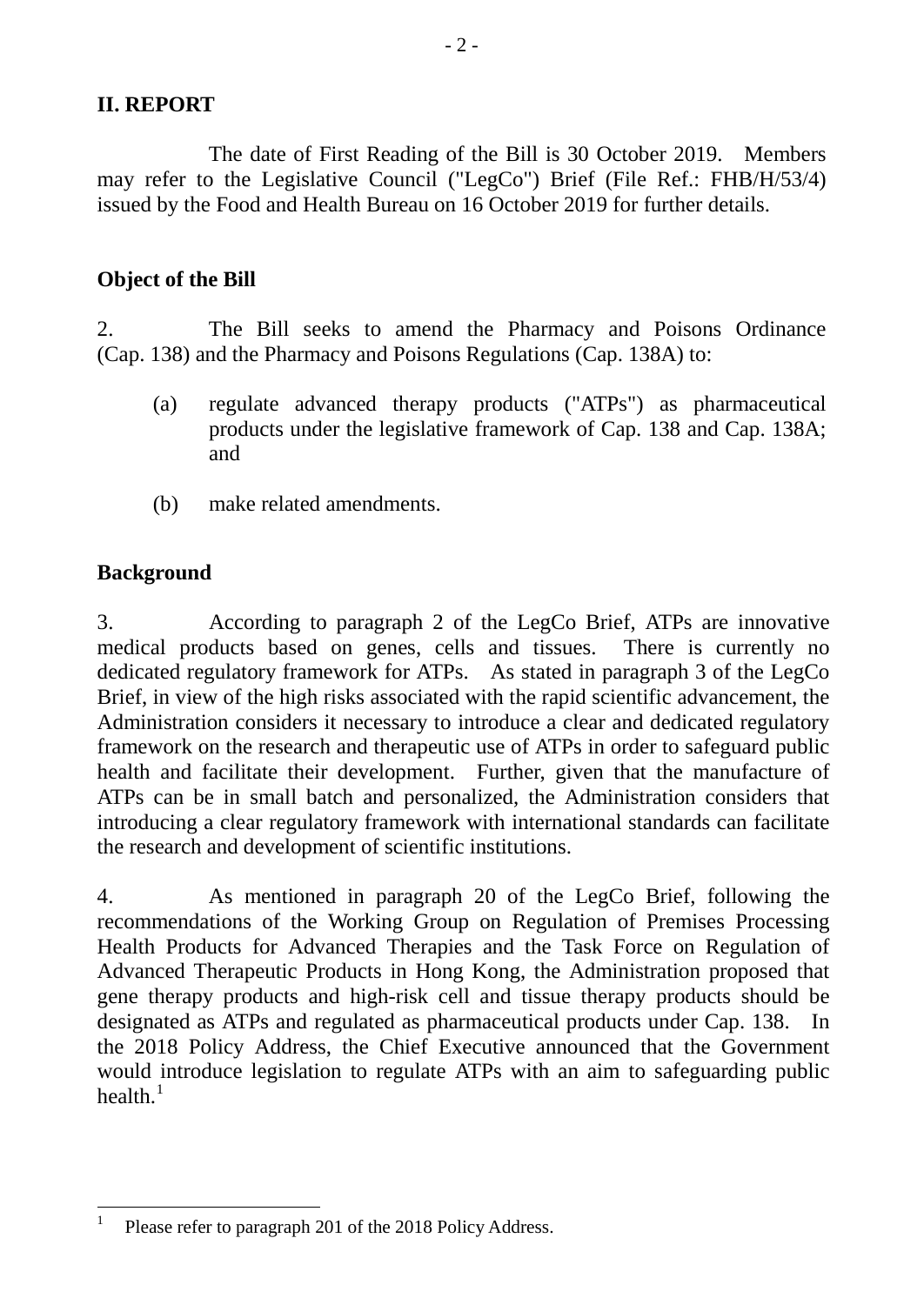## **II. REPORT**

The date of First Reading of the Bill is 30 October 2019. Members may refer to the Legislative Council ("LegCo") Brief (File Ref.: FHB/H/53/4) issued by the Food and Health Bureau on 16 October 2019 for further details.

 $-2-$ 

# **Object of the Bill**

2. The Bill seeks to amend the Pharmacy and Poisons Ordinance (Cap. 138) and the Pharmacy and Poisons Regulations (Cap. 138A) to:

- (a) regulate advanced therapy products ("ATPs") as pharmaceutical products under the legislative framework of Cap. 138 and Cap. 138A; and
- (b) make related amendments.

# **Background**

3. According to paragraph 2 of the LegCo Brief, ATPs are innovative medical products based on genes, cells and tissues. There is currently no dedicated regulatory framework for ATPs. As stated in paragraph 3 of the LegCo Brief, in view of the high risks associated with the rapid scientific advancement, the Administration considers it necessary to introduce a clear and dedicated regulatory framework on the research and therapeutic use of ATPs in order to safeguard public health and facilitate their development. Further, given that the manufacture of ATPs can be in small batch and personalized, the Administration considers that introducing a clear regulatory framework with international standards can facilitate the research and development of scientific institutions.

4. As mentioned in paragraph 20 of the LegCo Brief, following the recommendations of the Working Group on Regulation of Premises Processing Health Products for Advanced Therapies and the Task Force on Regulation of Advanced Therapeutic Products in Hong Kong, the Administration proposed that gene therapy products and high-risk cell and tissue therapy products should be designated as ATPs and regulated as pharmaceutical products under Cap. 138. the 2018 Policy Address, the Chief Executive announced that the Government would introduce legislation to regulate ATPs with an aim to safeguarding public health. $^1$  $^1$ 

<span id="page-1-0"></span><sup>&</sup>lt;sup>1</sup> Please refer to paragraph 201 of the 2018 Policy Address.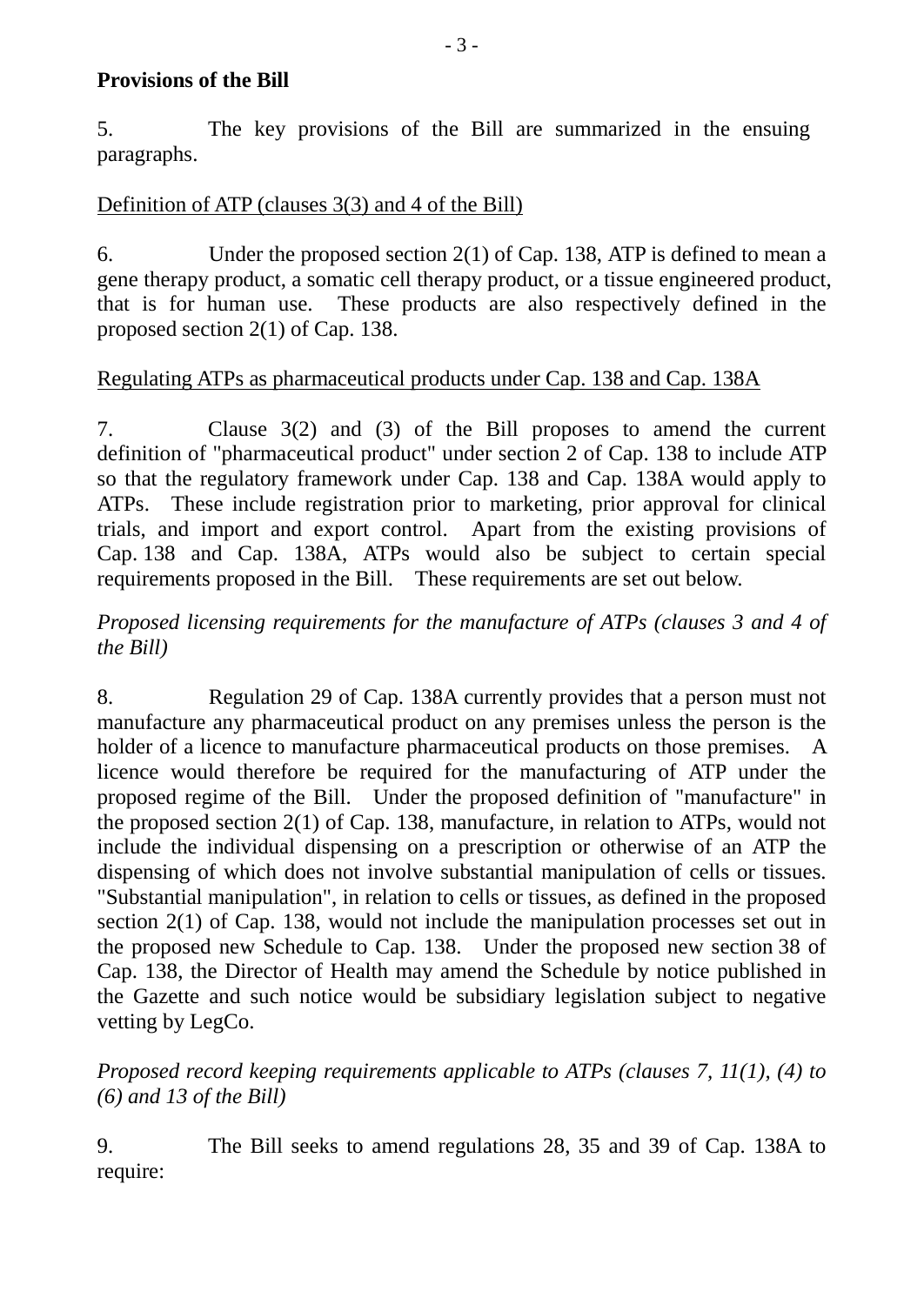#### **Provisions of the Bill**

5. The key provisions of the Bill are summarized in the ensuing paragraphs.

## Definition of ATP (clauses 3(3) and 4 of the Bill)

6. Under the proposed section 2(1) of Cap. 138, ATP is defined to mean a gene therapy product, a somatic cell therapy product, or a tissue engineered product, that is for human use. These products are also respectively defined in the proposed section 2(1) of Cap. 138.

## Regulating ATPs as pharmaceutical products under Cap. 138 and Cap. 138A

7. Clause 3(2) and (3) of the Bill proposes to amend the current definition of "pharmaceutical product" under section 2 of Cap. 138 to include ATP so that the regulatory framework under Cap. 138 and Cap. 138A would apply to ATPs. These include registration prior to marketing, prior approval for clinical trials, and import and export control. Apart from the existing provisions of Cap. 138 and Cap. 138A, ATPs would also be subject to certain special requirements proposed in the Bill. These requirements are set out below.

# *Proposed licensing requirements for the manufacture of ATPs (clauses 3 and 4 of the Bill)*

8. Regulation 29 of Cap. 138A currently provides that a person must not manufacture any pharmaceutical product on any premises unless the person is the holder of a licence to manufacture pharmaceutical products on those premises. A licence would therefore be required for the manufacturing of ATP under the proposed regime of the Bill. Under the proposed definition of "manufacture" in the proposed section 2(1) of Cap. 138, manufacture, in relation to ATPs, would not include the individual dispensing on a prescription or otherwise of an ATP the dispensing of which does not involve substantial manipulation of cells or tissues. "Substantial manipulation", in relation to cells or tissues, as defined in the proposed section 2(1) of Cap. 138, would not include the manipulation processes set out in the proposed new Schedule to Cap. 138. Under the proposed new section 38 of Cap. 138, the Director of Health may amend the Schedule by notice published in the Gazette and such notice would be subsidiary legislation subject to negative vetting by LegCo.

*Proposed record keeping requirements applicable to ATPs (clauses 7, 11(1), (4) to (6) and 13 of the Bill)*

9. The Bill seeks to amend regulations 28, 35 and 39 of Cap. 138A to require: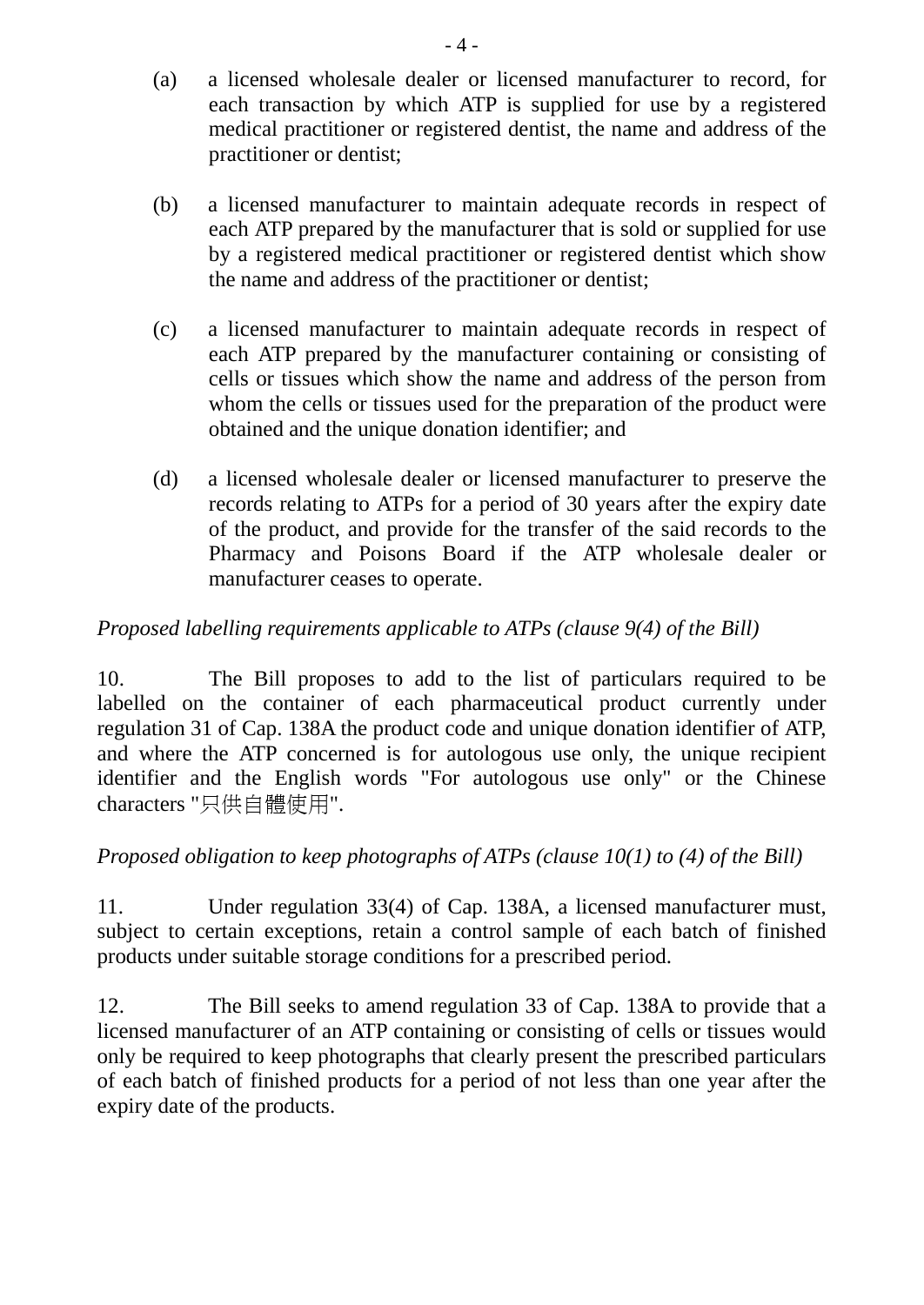- (a) a licensed wholesale dealer or licensed manufacturer to record, for each transaction by which ATP is supplied for use by a registered medical practitioner or registered dentist, the name and address of the practitioner or dentist;
- (b) a licensed manufacturer to maintain adequate records in respect of each ATP prepared by the manufacturer that is sold or supplied for use by a registered medical practitioner or registered dentist which show the name and address of the practitioner or dentist;
- (c) a licensed manufacturer to maintain adequate records in respect of each ATP prepared by the manufacturer containing or consisting of cells or tissues which show the name and address of the person from whom the cells or tissues used for the preparation of the product were obtained and the unique donation identifier; and
- (d) a licensed wholesale dealer or licensed manufacturer to preserve the records relating to ATPs for a period of 30 years after the expiry date of the product, and provide for the transfer of the said records to the Pharmacy and Poisons Board if the ATP wholesale dealer or manufacturer ceases to operate.

# *Proposed labelling requirements applicable to ATPs (clause 9(4) of the Bill)*

10. The Bill proposes to add to the list of particulars required to be labelled on the container of each pharmaceutical product currently under regulation 31 of Cap. 138A the product code and unique donation identifier of ATP, and where the ATP concerned is for autologous use only, the unique recipient identifier and the English words "For autologous use only" or the Chinese characters "只供自體使用".

# *Proposed obligation to keep photographs of ATPs (clause 10(1) to (4) of the Bill)*

11. Under regulation 33(4) of Cap. 138A, a licensed manufacturer must, subject to certain exceptions, retain a control sample of each batch of finished products under suitable storage conditions for a prescribed period.

12. The Bill seeks to amend regulation 33 of Cap. 138A to provide that a licensed manufacturer of an ATP containing or consisting of cells or tissues would only be required to keep photographs that clearly present the prescribed particulars of each batch of finished products for a period of not less than one year after the expiry date of the products.